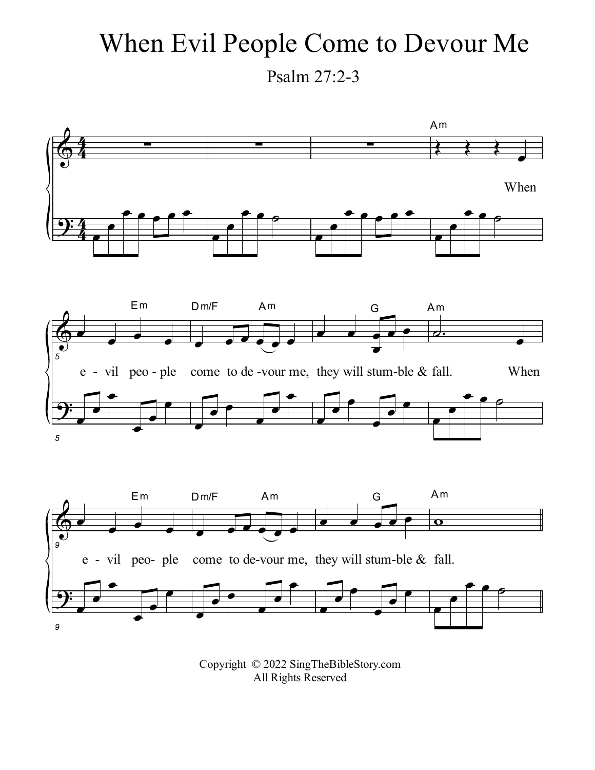## When Evil People Come to Devour Me

Psalm 27:2-3



Copyright © 2022 SingTheBibleStory.com All Rights Reserved